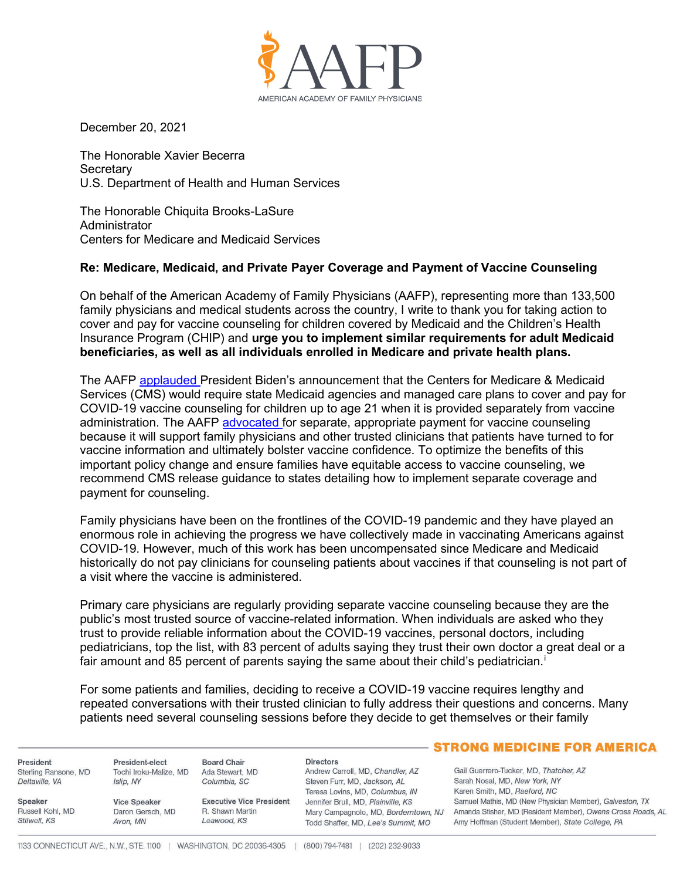

December 20, 2021

The Honorable Xavier Becerra **Secretary** U.S. Department of Health and Human Services

The Honorable Chiquita Brooks-LaSure Administrator Centers for Medicare and Medicaid Services

## **Re: Medicare, Medicaid, and Private Payer Coverage and Payment of Vaccine Counseling**

On behalf of the American Academy of Family Physicians (AAFP), representing more than 133,500 family physicians and medical students across the country, I write to thank you for taking action to cover and pay for vaccine counseling for children covered by Medicaid and the Children's Health Insurance Program (CHIP) and **urge you to implement similar requirements for adult Medicaid beneficiaries, as well as all individuals enrolled in Medicare and private health plans.**

The AAFP [applauded P](https://www.aafp.org/news/media-center/statements/family-physicians-support-white-house-actions.html)resident Biden's announcement that the Centers for Medicare & Medicaid Services (CMS) would require state Medicaid agencies and managed care plans to cover and pay for COVID-19 vaccine counseling for children up to age 21 when it is provided separately from vaccine administration. The AAFP [advocated f](http://www.groupof6.org/dam/AAFP/documents/advocacy/prevention/vaccines/LT-G6-HHS-VaccinePriorities-110121.pdf)or separate, appropriate payment for vaccine counseling because it will support family physicians and other trusted clinicians that patients have turned to for vaccine information and ultimately bolster vaccine confidence. To optimize the benefits of this important policy change and ensure families have equitable access to vaccine counseling, we recommend CMS release guidance to states detailing how to implement separate coverage and payment for counseling.

Family physicians have been on the frontlines of the COVID-19 pandemic and they have played an enormous role in achieving the progress we have collectively made in vaccinating Americans against COVID-19. However, much of this work has been uncompensated since Medicare and Medicaid historically do not pay clinicians for counseling patients about vaccines if that counseling is not part of a visit where the vaccine is administered.

Primary care physicians are regularly providing separate vaccine counseling because they are the public's most trusted source of vaccine-related information. When individuals are asked who they trust to provide reliable information about the COVID-19 vaccines, personal doctors, including pediatricians, top the list, with 83 percent of adults saying they trust their own doctor a great deal or a fa[i](#page-1-0)r amount and 85 percent of parents saying the same about their child's pediatrician.<sup>i</sup>

For some patients and families, deciding to receive a COVID-19 vaccine requires lengthy and repeated conversations with their trusted clinician to fully address their questions and concerns. Many patients need several counseling sessions before they decide to get themselves or their family

President Sterling Ransone, MD Deltaville, VA

Speaker Russell Kohl MD Stilwell, KS

President-elect **Board Chair** Tochi Iroku-Malize, MD Ada Stewart, MD Columbia, SC

Islip, NY

Avon, MN

**Vice Speaker** 

Daron Gersch, MD

**Executive Vice President** R Shawn Martin Leawood, KS

**Directors** Andrew Carroll, MD, Chandler, AZ Steven Furr, MD, Jackson, AL Teresa Lovins, MD, Columbus, IN Jennifer Brull, MD, Plainville, KS Todd Shaffer, MD, Lee's Summit, MO

## **STRONG MEDICINE FOR AMERICA**

Gail Guerrero-Tucker, MD, Thatcher, AZ Sarah Nosal, MD, New York, NY Karen Smith, MD, Raeford, NC Samuel Mathis, MD (New Physician Member), Galveston, TX Mary Campagnolo, MD, Borderntown, NJ Amanda Stisher, MD (Resident Member), Owens Cross Roads, AL Amy Hoffman (Student Member), State College, PA